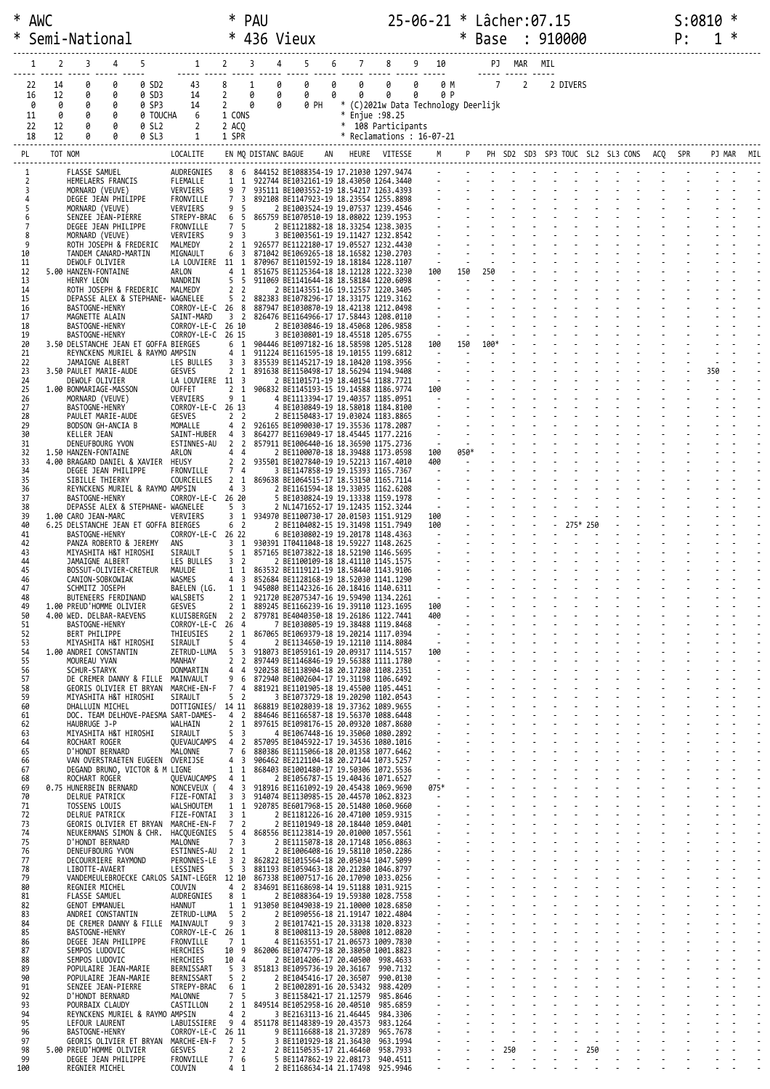| ∗        | <b>AWC</b>           |                                                                    |                   |                                                                     |                                                             | <b>PAU</b>          |                                                                                  |   |   |                      | 25-06-21 * Lâcher:07.15                         |      |                                            |        |                |     |          |     |  | S:0810 |            |  |
|----------|----------------------|--------------------------------------------------------------------|-------------------|---------------------------------------------------------------------|-------------------------------------------------------------|---------------------|----------------------------------------------------------------------------------|---|---|----------------------|-------------------------------------------------|------|--------------------------------------------|--------|----------------|-----|----------|-----|--|--------|------------|--|
|          |                      | Semi-National                                                      |                   |                                                                     | $\ast$                                                      |                     | 436 Vieux                                                                        |   |   |                      |                                                 | ∗    | Base : 910000                              |        |                |     |          |     |  | P:     |            |  |
|          | 2<br>1               | 4<br>3                                                             | 5                 | $1 \t2$                                                             |                                                             | 3<br>4              | 5                                                                                | 6 | 7 | 8                    | 9<br>10                                         |      |                                            | PJ MAR |                | MIL |          |     |  |        |            |  |
|          | 14<br>22             | 0<br>0                                                             | 0 SD2             | 43                                                                  | 8                                                           | 1<br>0              | 0                                                                                | 0 | 0 | 0                    | <u> </u><br>0<br>0 M                            |      | $\overline{7}$                             |        | $\overline{2}$ |     | 2 DIVERS |     |  |        |            |  |
|          | 12<br>16             | 0<br>0<br>ø                                                        | 0 SD3             | 14                                                                  | $\overline{2}$                                              | 0<br>0<br>0<br>0    | 0<br>0 PH                                                                        | 0 | 0 | 0                    | 0<br>0 P<br>* (C)2021w Data Technology Deerlijk |      |                                            |        |                |     |          |     |  |        |            |  |
|          | 0<br>0<br>0<br>11    | 0<br>0<br>0                                                        | 0 SP3<br>0 TOUCHA | 14<br>6                                                             | 2<br>1 CONS                                                 |                     |                                                                                  |   |   | * Enjue : 98.25      |                                                 |      |                                            |        |                |     |          |     |  |        |            |  |
|          | 22<br>12<br>18<br>12 | 0<br>ø                                                             | 0 SL2<br>0 SL3    | 2                                                                   | 2 ACQ<br>1 SPR                                              |                     |                                                                                  |   |   | * 108 Participants   | * Reclamations : 16-07-21                       |      |                                            |        |                |     |          |     |  |        |            |  |
|          | PL                   | TOT NOM                                                            |                   | LOCALITE                                                            |                                                             | EN MQ DISTANC BAGUE | AN                                                                               |   |   | HEURE VITESSE        | M                                               |      | P PH SD2 SD3 SP3 TOUC SL2 SL3 CONS ACQ SPR |        |                |     |          |     |  |        | PJ MAR MIL |  |
|          |                      | FLASSE SAMUEL                                                      |                   | AUDREGNIES                                                          | 86                                                          |                     | 844152 BE1088354-19 17.21030 1297.9474                                           |   |   |                      |                                                 |      |                                            |        |                |     |          |     |  |        |            |  |
|          | 3                    | HEMELAERS FRANCIS<br>MORNARD (VEUVE)                               |                   | FLEMALLE<br>VERVIERS                                                | 1 1<br>9<br>7                                               |                     | 922744 BE1032161-19 18.43050 1264.3440<br>935111 BE1003552-19 18.54217 1263.4393 |   |   |                      |                                                 |      |                                            |        |                |     |          |     |  |        |            |  |
|          |                      | DEGEE JEAN PHILIPPE<br>MORNARD (VEUVE)                             |                   | FRONVILLE<br>VERVIERS                                               | 7 <sup>3</sup><br>95                                        |                     | 892108 BE1147923-19 18.23554 1255.8898<br>2 BE1003524-19 19.07537 1239.4546      |   |   |                      |                                                 |      |                                            |        |                |     |          |     |  |        |            |  |
|          | 6<br>7               | SENZEE JEAN-PIERRE<br>DEGEE JEAN PHILIPPE                          |                   | STREPY-BRAC<br>FRONVILLE                                            | 6<br>5<br>7 5                                               |                     | 865759 BE1070510-19 18.08022 1239.1953<br>2 BE1121882-18 18.33254 1238.3035      |   |   |                      |                                                 |      |                                            |        |                |     |          |     |  |        |            |  |
|          | 8<br>9               | MORNARD (VEUVE)<br>ROTH JOSEPH & FREDERIC                          |                   | VERVIERS<br>MALMEDY                                                 | 9 3<br>2 <sub>1</sub>                                       |                     | 3 BE1003561-19 19.11427 1232.8542<br>926577 BE1122180-17 19.05527 1232.4430      |   |   |                      |                                                 |      |                                            |        |                |     |          |     |  |        |            |  |
| 11       | 10                   | TANDEM CANARD-MARTIN<br>DEWOLF OLIVIER                             |                   | MIGNAULT<br>LA LOUVIERE 11 1                                        | 6 3                                                         |                     | 871042 BE1069265-18 18.16582 1230.2703<br>870967 BE1101592-19 18.18184 1228.1107 |   |   |                      |                                                 |      |                                            |        |                |     |          |     |  |        |            |  |
|          | 12                   | 5.00 HANZEN-FONTAINE                                               |                   | ARLON                                                               | 1<br>4                                                      |                     | 851675 BE1125364-18 18.12128 1222.3230                                           |   |   |                      | 100<br>$\sim$                                   | 150  | 250                                        |        |                |     |          |     |  |        |            |  |
|          | 13<br>14             | HENRY LEON<br>ROTH JOSEPH & FREDERIC                               |                   | NANDRIN<br>MALMEDY                                                  | 5 <sub>5</sub><br>2 <sub>2</sub>                            |                     | 911069 BE1141644-18 18.58184 1220.6098<br>2 BE1143551-16 19.12557 1220.3405      |   |   |                      |                                                 |      |                                            |        |                |     |          |     |  |        |            |  |
| 16       | 15                   | DEPASSE ALEX & STEPHANE- WAGNELEE<br><b>BASTOGNE-HENRY</b>         |                   | CORROY-LE-C 26 8                                                    | 5 <sub>2</sub>                                              |                     | 882383 BE1078296-17 18.33175 1219.3162<br>887947 BE1030870-19 18.42138 1212.0498 |   |   |                      |                                                 |      |                                            |        |                |     |          |     |  |        |            |  |
| 17       | 18                   | MAGNETTE ALAIN<br><b>BASTOGNE-HENRY</b>                            |                   | SAINT-MARD<br>CORROY-LE-C 26 10                                     | 3 <sub>2</sub>                                              |                     | 826476 BE1164966-17 17.58443 1208.0110<br>2 BE1030846-19 18.45068 1206.9858      |   |   |                      | $\blacksquare$                                  |      |                                            |        |                |     |          |     |  |        |            |  |
| 19<br>20 |                      | <b>BASTOGNE-HENRY</b><br>3.50 DELSTANCHE JEAN ET GOFFA BIERGES     |                   | CORROY-LE-C 26 15                                                   | 6 1                                                         |                     | 3 BE1030801-19 18.45518 1205.6755<br>904446 BE1097182-16 18.58598 1205.5128      |   |   |                      | $\sim$<br>100                                   | 150  | 100*                                       |        |                |     |          |     |  |        |            |  |
| 21<br>22 |                      | REYNCKENS MURIEL & RAYMO AMPSIN<br>JAMAIGNE ALBERT                 |                   | LES BULLES                                                          | 1<br>4<br>3 <sup>3</sup>                                    |                     | 911224 BE1161595-18 19.10155 1199.6812<br>835539 BE1145217-19 18.10420 1198.3956 |   |   |                      | $\sim$<br>$\omega$                              |      |                                            |        |                |     |          |     |  |        |            |  |
| 23<br>24 |                      | 3.50 PAULET MARIE-AUDE<br>DEWOLF OLIVIER                           |                   | GESVES<br>LA LOUVIERE 11 3                                          | 2 <sub>1</sub>                                              |                     | 891638 BE1150498-17 18.56294 1194.9408<br>2 BE1101571-19 18.40154 1188.7721      |   |   |                      | $\sim$                                          |      |                                            |        |                |     |          |     |  |        | 350        |  |
| 25<br>26 |                      | 1.00 BONMARIAGE-MASSON<br>MORNARD (VEUVE)                          |                   | OUFFET<br>VERVIERS                                                  | 2 <sub>1</sub><br>9 1                                       |                     | 906832 BE1145193-15 19.14588 1186.9774<br>4 BE1113394-17 19.40357 1185.0951      |   |   |                      | 100<br>$\sim$                                   |      |                                            |        |                |     |          |     |  |        |            |  |
| 27       | 28                   | <b>BASTOGNE-HENRY</b>                                              |                   | CORROY-LE-C 26 13                                                   | 2 <sub>2</sub>                                              |                     | 4 BE1030849-19 18.58018 1184.8100                                                |   |   |                      |                                                 |      |                                            |        |                |     |          |     |  |        |            |  |
|          | 29                   | PAULET MARIE-AUDE<br>BODSON GH-ANCIA B                             |                   | GESVES<br>MOMALLE                                                   | $\overline{2}$<br>4                                         |                     | 2 BE1150483-17 19.03024 1183.8865<br>926165 BE1090030-17 19.35536 1178.2087      |   |   |                      |                                                 |      |                                            |        |                |     |          |     |  |        |            |  |
| 30       | 31                   | KELLER JEAN<br>DENEUFBOURG YVON                                    |                   | SAINT-HUBER<br>ESTINNES-AU                                          | $\overline{4}$<br>$\overline{\mathbf{3}}$<br>2 <sub>2</sub> |                     | 864277 BE1169049-17 18.45445 1177.2216<br>857911 BE1006440-16 18.36590 1175.2736 |   |   |                      | $\sim$<br>$\sim$                                |      |                                            |        |                |     |          |     |  |        |            |  |
| 32<br>33 |                      | 1.50 HANZEN-FONTAINE<br>4.00 BRAGARD DANIEL & XAVIER               |                   | ARLON<br>HEUSY                                                      | 44<br>2 <sub>2</sub>                                        |                     | 2 BE1100070-18 18.39488 1173.0598<br>935501 BE1027840-19 19.52213 1167.4010      |   |   |                      | 100<br>400                                      | 050* |                                            |        |                |     |          |     |  |        |            |  |
| 34<br>35 |                      | DEGEE JEAN PHILIPPE<br>SIBILLE THIERRY                             |                   | FRONVILLE<br>COURCELLES                                             | 7 4<br>2 <sub>1</sub>                                       |                     | 3 BE1147858-19 19.15393 1165.7367<br>869638 BE1064515-17 18.53150 1165.7114      |   |   |                      | $\sim$                                          |      |                                            |        |                |     |          |     |  |        |            |  |
| 37       | 36                   | REYNCKENS MURIEL & RAYMO AMPSIN<br><b>BASTOGNE-HENRY</b>           |                   | CORROY-LE-C 26 20                                                   | 4 <sup>3</sup>                                              |                     | 2 BE1161594-18 19.33035 1162.6208<br>5 BE1030824-19 19.13338 1159.1978           |   |   |                      | $\mathcal{L}_{\mathcal{A}}$<br>- 21             |      |                                            |        |                |     |          |     |  |        |            |  |
| 39       | 38                   | DEPASSE ALEX & STEPHANE- WAGNELEE<br>1.00 CARO JEAN-MARC           |                   | VERVIERS                                                            | 5 <sub>3</sub><br>3 1                                       |                     | 2 NL1471652-17 19.12435 1152.3244<br>934970 BE1100730-17 20.01503 1151.9129      |   |   |                      | $\sim$<br>100                                   |      |                                            |        |                |     |          |     |  |        |            |  |
| 40<br>41 |                      | 6.25 DELSTANCHE JEAN ET GOFFA BIERGES<br>BASTOGNE-HENRY            |                   | CORROY-LE-C 26 22                                                   | 6 2                                                         |                     | 2 BE1104082-15 19.31498 1151.7949<br>6 BE1030802-19 19.20178 1148.4363           |   |   |                      | 100<br>$\sim$ $-$                               |      |                                            |        |                |     | 275* 250 |     |  |        |            |  |
| 43       | 42                   | PANZA ROBERTO & JEREMY<br>MIYASHITA H&T HIROSHI                    |                   | ANS<br>SIRAULT                                                      | 3 <sub>1</sub><br>5 1                                       |                     | 930391 IT0411048-18 19.59227 1148.2625<br>857165 BE1073822-18 18.52190 1146.5695 |   |   |                      |                                                 |      |                                            |        |                |     |          |     |  |        |            |  |
| 44<br>45 |                      | JAMAIGNE ALBERT<br>BOSSUT-OLIVIER-CRETEUR                          |                   | LES BULLES<br>MAULDE                                                | 3 <sub>2</sub><br>$1\quad1$                                 |                     | 2 BE1100109-18 18.41110 1145.1575<br>863532 BE1119121-19 18.58440 1143.9106      |   |   |                      |                                                 |      |                                            |        |                |     |          |     |  |        |            |  |
|          | 46                   | CANION-SOBKOWIAK                                                   |                   | WASMES                                                              | 4 <sup>3</sup>                                              |                     | 852684 BE1128168-19 18.52030 1141.1290                                           |   |   |                      |                                                 |      |                                            |        |                |     |          |     |  |        |            |  |
| 47       | 48                   | SCHMITZ JOSEPH<br>BUTENEERS FERDINAND                              |                   | BAELEN (LG.<br>WALSBETS                                             | 1 1<br>2 1                                                  |                     | 945080 BE1142326-16 20.18416 1140.6311<br>921720 BE2075347-16 19.59490 1134.2261 |   |   |                      |                                                 |      |                                            |        |                |     |          |     |  |        |            |  |
|          | 49<br>50             | 1.00 PREUD'HOMME OLIVIER<br>4.00 WED. DELBAR-RAEVENS               |                   | GESVES<br>KLUISBERGEN                                               | 2 <sub>1</sub><br>2 2                                       |                     | 889245 BE1166239-16 19.39110 1123.1695<br>879781 BE4040350-18 19.26186 1122.7441 |   |   |                      | 100<br>400                                      |      |                                            |        |                |     |          |     |  |        |            |  |
|          | 51<br>52             | <b>BASTOGNE-HENRY</b><br>BERT PHILIPPE                             |                   | CORROY-LE-C 26 4<br>THIEUSIES                                       | 2 <sub>1</sub>                                              |                     | 7 BE1030805-19 19.38488 1119.8468<br>867065 BE1069379-18 19.20214 1117.0394      |   |   |                      | $\sim$                                          |      |                                            |        |                |     |          |     |  |        |            |  |
| 54       | 53                   | MIYASHITA H&T HIROSHI<br>1.00 ANDREI CONSTANTIN                    |                   | SIRAULT<br>ZETRUD-LUMA                                              | 5 <sub>4</sub><br>5<br>$\overline{3}$                       |                     | 2 BE1134650-19 19.12110 1114.8084<br>918073 BE1059161-19 20.09317 1114.5157      |   |   |                      | ÷.<br>100                                       |      |                                            |        |                |     |          |     |  |        |            |  |
| 55       | 56                   | MOUREAU YVAN<br><b>SCHUR-STARYK</b>                                |                   | MANHAY<br>DONMARTIN                                                 | 2 <sub>2</sub><br>44                                        |                     | 897449 BE1146846-19 19.56388 1111.1780<br>920258 BE1138904-18 20.17280 1108.2351 |   |   |                      | $\sim$                                          |      |                                            |        |                |     |          |     |  |        |            |  |
| 57       | 58                   | DE CREMER DANNY & FILLE MAINVAULT<br>GEORIS OLIVIER ET BRYAN       |                   | MARCHE-EN-F                                                         | 9<br>6<br>7 4                                               |                     | 872940 BE1002604-17 19.31198 1106.6492<br>881921 BE1101905-18 19.45500 1105.4451 |   |   |                      |                                                 |      |                                            |        |                |     |          |     |  |        |            |  |
|          | 59<br>60             | MIYASHITA H&T HIROSHI<br>DHALLUIN MICHEL                           |                   | SIRAULT<br>DOTTIGNIES/ 14 11 868819 BE1028039-18 19.37362 1089.9655 | 5 <sub>2</sub>                                              |                     | 3 BE1073729-18 19.20290 1102.0543                                                |   |   |                      | $\blacksquare$                                  |      |                                            |        |                |     |          |     |  |        |            |  |
|          | 61<br>62             | DOC. TEAM DELHOVE-PAESMA SART-DAMES-<br>HAUBRUGE J-P               |                   | WALHAIN                                                             | 4 <sub>2</sub><br>2 <sub>1</sub>                            |                     | 884646 BE1166587-18 19.56370 1088.6448<br>897615 BE1098176-15 20.09320 1087.8680 |   |   |                      | $\blacksquare$                                  |      |                                            |        |                |     |          |     |  |        |            |  |
|          | 63                   | MIYASHITA H&T HIROSHI                                              |                   | SIRAULT                                                             | 5 <sup>3</sup>                                              |                     | 4 BE1067448-16 19.35060 1080.2892                                                |   |   |                      |                                                 |      |                                            |        |                |     |          |     |  |        |            |  |
| 64       | 65                   | ROCHART ROGER<br>D'HONDT BERNARD                                   |                   | <b>OUEVAUCAMPS</b><br>MALONNE                                       | 4 <sup>2</sup><br>7 6                                       |                     | 857095 BE1045922-17 19.34536 1080.1016<br>880386 BE1115066-18 20.01358 1077.6462 |   |   |                      |                                                 |      |                                            |        |                |     |          |     |  |        |            |  |
| 67       | 66                   | VAN OVERSTRAETEN EUGEEN OVERIJSE<br>DEGAND BRUNO, VICTOR & M LIGNE |                   |                                                                     | 4<br>$\overline{3}$<br>$1\quad1$                            |                     | 906462 BE2121104-18 20.27144 1073.5257<br>868403 BE1001480-17 19.50306 1072.5536 |   |   |                      | $\blacksquare$                                  |      |                                            |        |                |     |          |     |  |        |            |  |
| 69       | 68                   | ROCHART ROGER<br>0.75 HUNERBEIN BERNARD                            |                   | QUEVAUCAMPS<br>NONCEVEUX (                                          | 4 1<br>4 3                                                  |                     | 2 BE1056787-15 19.40436 1071.6527<br>918916 BE1161092-19 20.45438 1069.9690      |   |   |                      | $\sim$<br>$075*$                                |      |                                            |        |                |     |          |     |  |        |            |  |
|          | 70<br>71             | DELRUE PATRICK<br>TOSSENS LOUIS                                    |                   | FIZE-FONTAI<br>WALSHOUTEM                                           | 3<br>$\overline{\mathbf{3}}$<br>$1\quad1$                   |                     | 914074 BE1130985-15 20.44570 1062.8323<br>920785 BE6017968-15 20.51480 1060.9660 |   |   |                      |                                                 |      |                                            |        |                |     |          |     |  |        |            |  |
|          | 72<br>73             | DELRUE PATRICK<br>GEORIS OLIVIER ET BRYAN MARCHE-EN-F              |                   | FIZE-FONTAI                                                         | 3 <sub>1</sub><br>7 <sup>2</sup>                            |                     | 2 BE1181226-16 20.47100 1059.9315<br>2 BE1101949-18 20.18440 1059.0401           |   |   |                      | ÷                                               |      |                                            |        |                |     |          |     |  |        |            |  |
|          | 74<br>75             | NEUKERMANS SIMON & CHR.<br>D'HONDT BERNARD                         |                   | HACQUEGNIES<br>MALONNE                                              | 54<br>7 <sub>3</sub>                                        |                     | 868556 BE1123814-19 20.01000 1057.5561<br>2 BE1115078-18 20.17148 1056.0863      |   |   |                      | $\omega$<br>$\blacksquare$                      |      |                                            |        |                |     |          |     |  |        |            |  |
| 76<br>77 |                      | DENEUFBOURG YVON<br>DECOURRIERE RAYMOND                            |                   | ESTINNES-AU<br>PERONNES-LE                                          | 2 <sub>1</sub><br>3 <sub>2</sub>                            |                     | 2 BE1006408-16 19.58110 1050.2286<br>862822 BE1015564-18 20.05034 1047.5099      |   |   |                      |                                                 |      |                                            |        |                |     |          |     |  |        |            |  |
|          | 78<br>79             | LIBOTTE-AVAERT<br>VANDEMEULEBROECKE CARLOS SAINT-LEGER 12 10       |                   | LESSINES                                                            | 5 <sup>3</sup>                                              |                     | 881193 BE1059463-18 20.21280 1046.8797<br>867338 BE1007517-16 20.17090 1033.0256 |   |   |                      | ÷,                                              |      |                                            |        |                |     |          |     |  |        |            |  |
|          | 80                   | REGNIER MICHEL                                                     |                   | COUVIN                                                              | 4 2                                                         |                     | 834691 BE1168698-14 19.51188 1031.9215                                           |   |   |                      | $\omega$                                        |      |                                            |        |                |     |          |     |  |        |            |  |
|          | 81<br>82             | FLASSE SAMUEL<br><b>GENOT EMMANUEL</b>                             |                   | AUDREGNIES<br>HANNUT                                                | 8<br>-1<br>$1\quad1$                                        |                     | 2 BE1088364-19 19.59380 1028.7558<br>913050 BE1049038-19 21.10000 1028.6850      |   |   |                      | $\blacksquare$                                  |      |                                            |        |                |     |          |     |  |        |            |  |
|          | 83<br>84             | ANDREI CONSTANTIN<br>DE CREMER DANNY & FILLE MAINVAULT             |                   | ZETRUD-LUMA                                                         | 5<br>$\overline{2}$<br>9<br>$\overline{\mathbf{3}}$         |                     | 2 BE1090556-18 21.19147 1022.4804<br>2 BE1017421-15 20.33138 1020.8323           |   |   |                      |                                                 |      |                                            |        |                |     |          |     |  |        |            |  |
| 85       | 86                   | <b>BASTOGNE-HENRY</b><br>DEGEE JEAN PHILIPPE                       |                   | CORROY-LE-C 26<br>FRONVILLE                                         | 1<br>7<br>1                                                 |                     | 8 BE1008113-19 20.58008 1012.0820<br>4 BE1163551-17 21.06573 1009.7830           |   |   |                      | $\sim$                                          |      |                                            |        |                |     |          |     |  |        |            |  |
| 87       | 88                   | SEMPOS LUDOVIC<br>SEMPOS LUDOVIC                                   |                   | HERCHIES<br>HERCHIES                                                | 10<br>9<br>10<br>4                                          |                     | 862006 BE1074779-18 20.38050 1001.8823<br>2 BE1014206-17 20.40500 998.4633       |   |   |                      |                                                 |      |                                            |        |                |     |          |     |  |        |            |  |
|          | 89<br>90             | POPULAIRE JEAN-MARIE<br>POPULAIRE JEAN-MARIE                       |                   | BERNISSART<br>BERNISSART                                            | 5<br>3<br>5<br>$\overline{2}$                               |                     | 851813 BE1095736-19 20.36167 990.7132<br>2 BE1045416-17 20.36507 990.0130        |   |   |                      | $\overline{\phantom{a}}$                        |      |                                            |        |                |     |          |     |  |        |            |  |
|          | 91<br>92             | SENZEE JEAN-PIERRE<br>D'HONDT BERNARD                              |                   | STREPY-BRAC<br>MALONNE                                              | 6 1<br>7<br>- 5                                             |                     | 2 BE1002891-16 20.53432 988.4209<br>3 BE1158421-17 21.12579                      |   |   | 985.8646             |                                                 |      |                                            |        |                |     |          |     |  |        |            |  |
|          | 93<br>94             | POURBAIX CLAUDY<br>REYNCKENS MURIEL & RAYMO AMPSIN                 |                   | CASTILLON                                                           | $\overline{2}$<br>1<br>4 <sup>2</sup>                       |                     | 849514 BE1052958-16 20.40510<br>3 BE2163113-16 21.46445 984.3306                 |   |   | 985.6859             |                                                 |      |                                            |        |                |     |          |     |  |        |            |  |
|          | 95<br>96             | LEFOUR LAURENT<br><b>BASTOGNE-HENRY</b>                            |                   | LABUISSIERE<br>CORROY-LE-C 26 11                                    | 94                                                          |                     | 851178 BE1148389-19 20.43573<br>9 BE1116688-18 21.37289                          |   |   | 983.1264<br>965.7678 | ÷                                               |      |                                            |        |                |     |          |     |  |        |            |  |
| 97       |                      | GEORIS OLIVIER ET BRYAN MARCHE-EN-F                                |                   |                                                                     | 7 5                                                         |                     | 3 BE1101929-18 21.36430                                                          |   |   | 963.1994             |                                                 |      |                                            |        |                |     |          |     |  |        |            |  |
|          | 98<br>99             | 5.00 PREUD'HOMME OLIVIER<br>DEGEE JEAN PHILIPPE                    |                   | GESVES<br>FRONVILLE                                                 | 2 <sub>2</sub><br>7<br>6                                    |                     | 2 BE1150535-17 21.46460<br>5 BE1147862-19 22.08173                               |   |   | 958.7933<br>940.4511 |                                                 |      |                                            | 250    |                |     |          | 250 |  |        |            |  |
| 100      |                      | REGNIER MICHEL                                                     |                   | COUVIN                                                              | 4 <sub>1</sub>                                              |                     | 2 BE1168634-14 21.17498 925.9946                                                 |   |   |                      |                                                 |      |                                            |        |                |     |          |     |  |        |            |  |